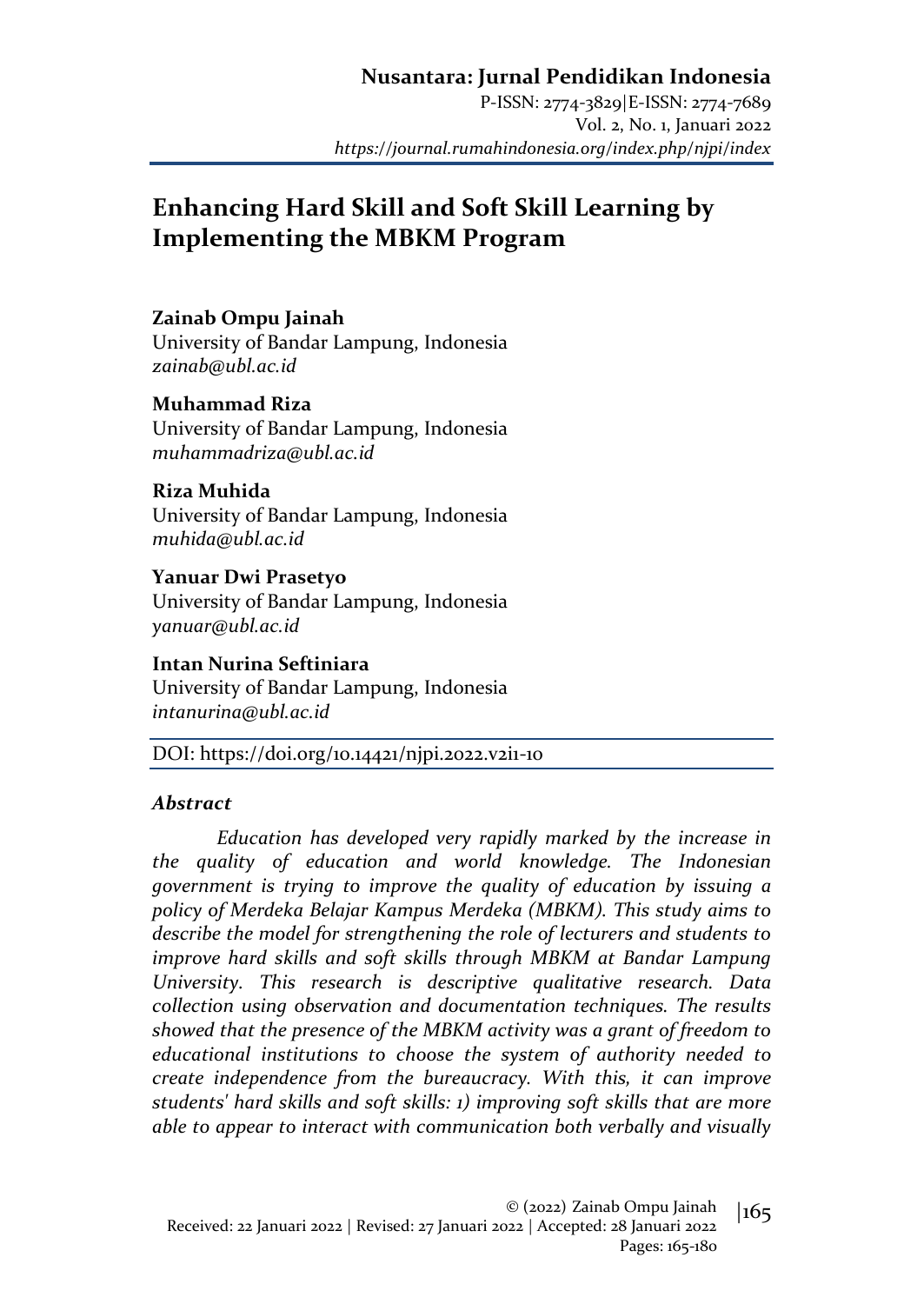P-ISSN: 2774-3829|E-ISSN: 2774-7689 Vol. 2, No. 1, Januari 2022 *https://journal.rumahindonesia.org/index.php/njpi/index*

# **Enhancing Hard Skill and Soft Skill Learning by Implementing the MBKM Program**

### **Zainab Ompu Jainah**

University of Bandar Lampung, Indonesia *zainab@ubl.ac.id*

**Muhammad Riza** University of Bandar Lampung, Indonesia *muhammadriza@ubl.ac.id*

**Riza Muhida** University of Bandar Lampung, Indonesia *muhida@ubl.ac.id*

**Yanuar Dwi Prasetyo** University of Bandar Lampung, Indonesia *yanuar@ubl.ac.id*

**Intan Nurina Seftiniara** University of Bandar Lampung, Indonesia *intanurina@ubl.ac.id*

DOI: https://doi.org/10.14421/njpi.2022.v2i1-10

#### *Abstract*

*Education has developed very rapidly marked by the increase in the quality of education and world knowledge. The Indonesian government is trying to improve the quality of education by issuing a policy of Merdeka Belajar Kampus Merdeka (MBKM). This study aims to describe the model for strengthening the role of lecturers and students to improve hard skills and soft skills through MBKM at Bandar Lampung University. This research is descriptive qualitative research. Data collection using observation and documentation techniques. The results showed that the presence of the MBKM activity was a grant of freedom to educational institutions to choose the system of authority needed to create independence from the bureaucracy. With this, it can improve students' hard skills and soft skills: 1) improving soft skills that are more able to appear to interact with communication both verbally and visually*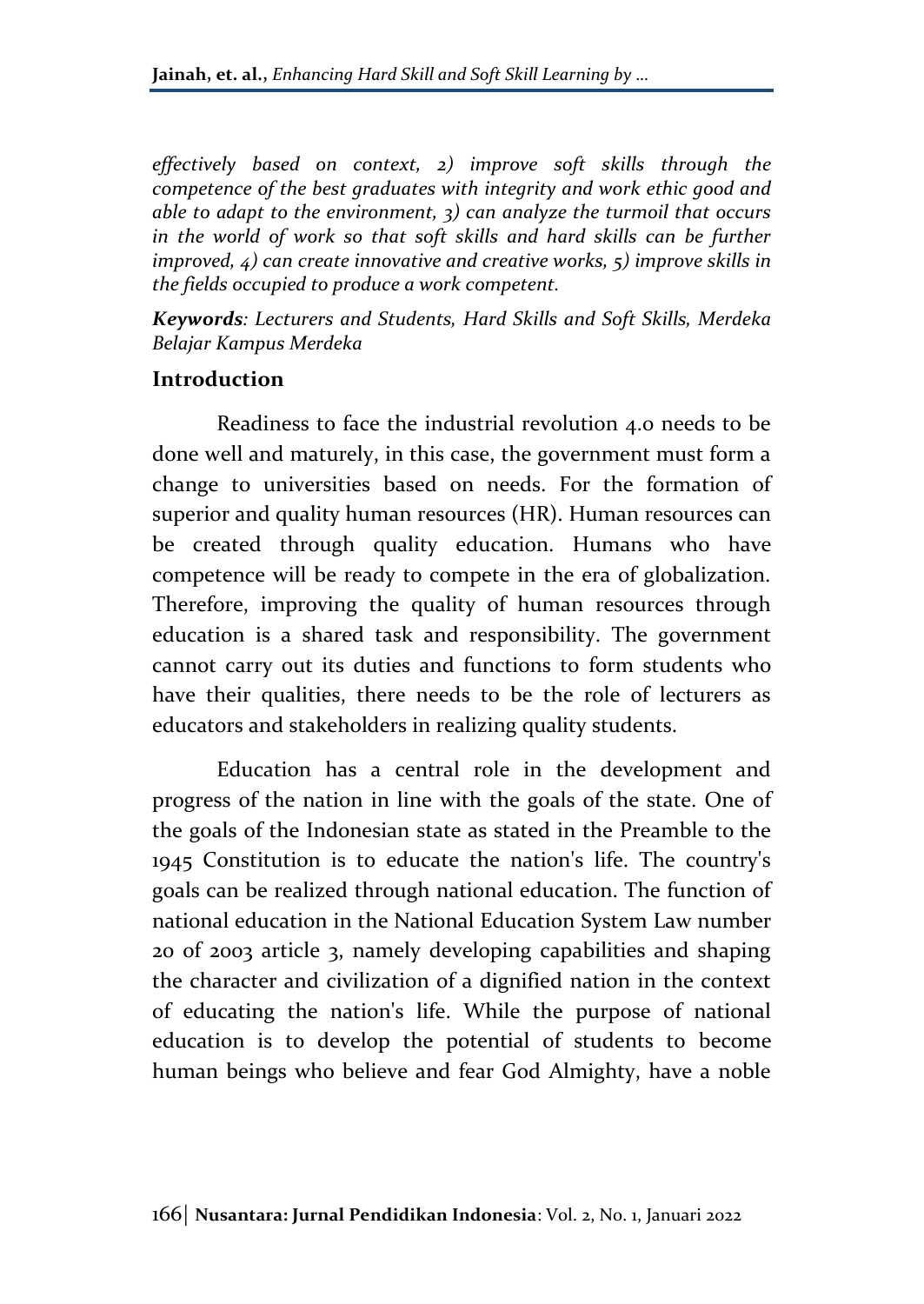*effectively based on context, 2) improve soft skills through the competence of the best graduates with integrity and work ethic good and able to adapt to the environment, 3) can analyze the turmoil that occurs*  in the world of work so that soft skills and hard skills can be further *improved, 4) can create innovative and creative works, 5) improve skills in the fields occupied to produce a work competent.*

*Keywords: Lecturers and Students, Hard Skills and Soft Skills, Merdeka Belajar Kampus Merdeka*

### **Introduction**

Readiness to face the industrial revolution 4.0 needs to be done well and maturely, in this case, the government must form a change to universities based on needs. For the formation of superior and quality human resources (HR). Human resources can be created through quality education. Humans who have competence will be ready to compete in the era of globalization. Therefore, improving the quality of human resources through education is a shared task and responsibility. The government cannot carry out its duties and functions to form students who have their qualities, there needs to be the role of lecturers as educators and stakeholders in realizing quality students.

Education has a central role in the development and progress of the nation in line with the goals of the state. One of the goals of the Indonesian state as stated in the Preamble to the 1945 Constitution is to educate the nation's life. The country's goals can be realized through national education. The function of national education in the National Education System Law number 20 of 2003 article 3, namely developing capabilities and shaping the character and civilization of a dignified nation in the context of educating the nation's life. While the purpose of national education is to develop the potential of students to become human beings who believe and fear God Almighty, have a noble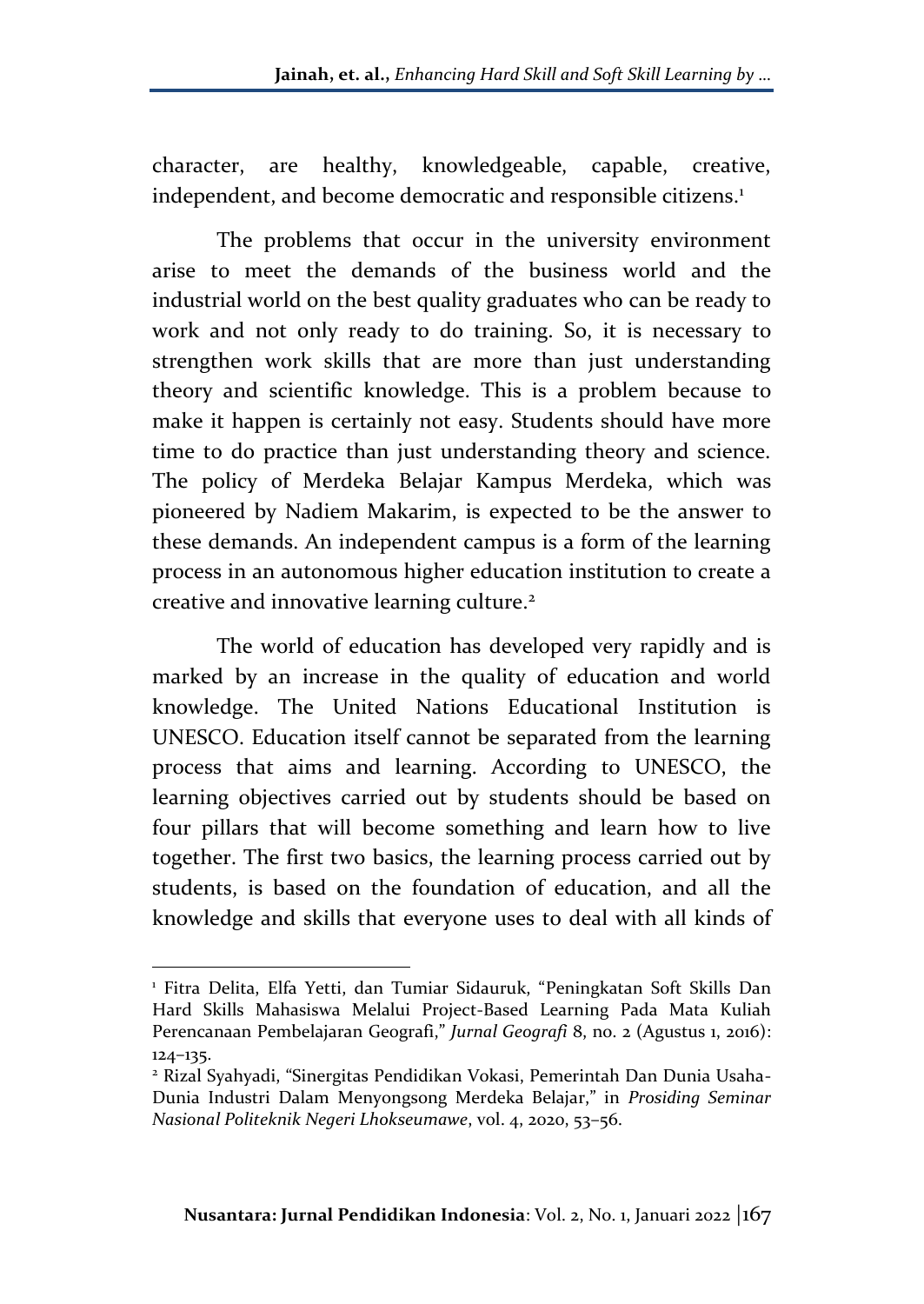character, are healthy, knowledgeable, capable, creative, independent, and become democratic and responsible citizens.<sup>1</sup>

The problems that occur in the university environment arise to meet the demands of the business world and the industrial world on the best quality graduates who can be ready to work and not only ready to do training. So, it is necessary to strengthen work skills that are more than just understanding theory and scientific knowledge. This is a problem because to make it happen is certainly not easy. Students should have more time to do practice than just understanding theory and science. The policy of Merdeka Belajar Kampus Merdeka, which was pioneered by Nadiem Makarim, is expected to be the answer to these demands. An independent campus is a form of the learning process in an autonomous higher education institution to create a creative and innovative learning culture.<sup>2</sup>

The world of education has developed very rapidly and is marked by an increase in the quality of education and world knowledge. The United Nations Educational Institution is UNESCO. Education itself cannot be separated from the learning process that aims and learning. According to UNESCO, the learning objectives carried out by students should be based on four pillars that will become something and learn how to live together. The first two basics, the learning process carried out by students, is based on the foundation of education, and all the knowledge and skills that everyone uses to deal with all kinds of

<sup>1</sup> Fitra Delita, Elfa Yetti, dan Tumiar Sidauruk, "Peningkatan Soft Skills Dan Hard Skills Mahasiswa Melalui Project-Based Learning Pada Mata Kuliah Perencanaan Pembelajaran Geografi," *Jurnal Geografi* 8, no. 2 (Agustus 1, 2016): 124–135.

<sup>2</sup> Rizal Syahyadi, "Sinergitas Pendidikan Vokasi, Pemerintah Dan Dunia Usaha-Dunia Industri Dalam Menyongsong Merdeka Belajar," in *Prosiding Seminar Nasional Politeknik Negeri Lhokseumawe*, vol. 4, 2020, 53–56.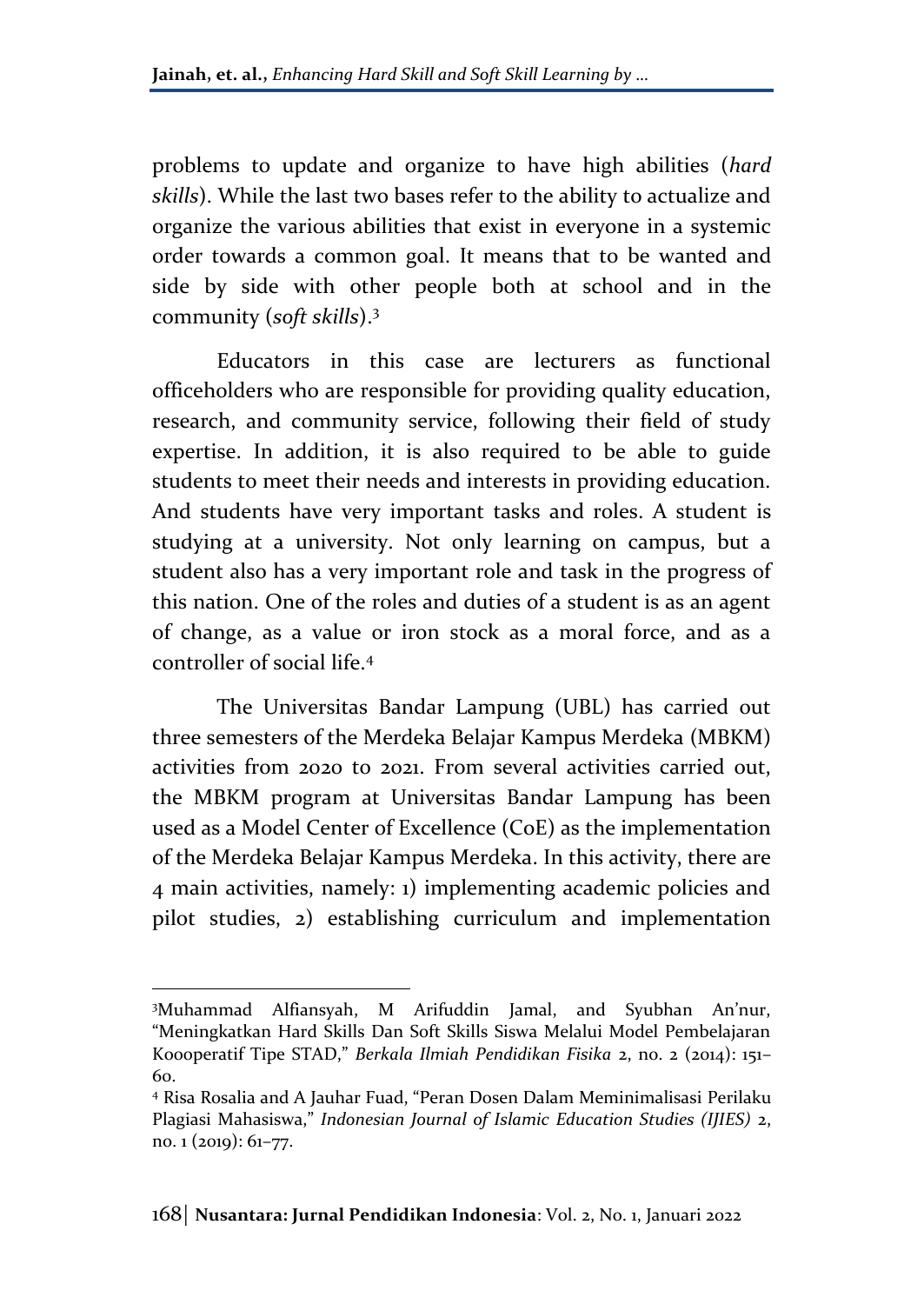problems to update and organize to have high abilities (*hard skills*). While the last two bases refer to the ability to actualize and organize the various abilities that exist in everyone in a systemic order towards a common goal. It means that to be wanted and side by side with other people both at school and in the community (*soft skills*).<sup>3</sup>

Educators in this case are lecturers as functional officeholders who are responsible for providing quality education, research, and community service, following their field of study expertise. In addition, it is also required to be able to guide students to meet their needs and interests in providing education. And students have very important tasks and roles. A student is studying at a university. Not only learning on campus, but a student also has a very important role and task in the progress of this nation. One of the roles and duties of a student is as an agent of change, as a value or iron stock as a moral force, and as a controller of social life.<sup>4</sup>

The Universitas Bandar Lampung (UBL) has carried out three semesters of the Merdeka Belajar Kampus Merdeka (MBKM) activities from 2020 to 2021. From several activities carried out, the MBKM program at Universitas Bandar Lampung has been used as a Model Center of Excellence (CoE) as the implementation of the Merdeka Belajar Kampus Merdeka. In this activity, there are 4 main activities, namely: 1) implementing academic policies and pilot studies, 2) establishing curriculum and implementation

<sup>3</sup>Muhammad Alfiansyah, M Arifuddin Jamal, and Syubhan An'nur, "Meningkatkan Hard Skills Dan Soft Skills Siswa Melalui Model Pembelajaran Koooperatif Tipe STAD," *Berkala Ilmiah Pendidikan Fisika* 2, no. 2 (2014): 151– 60.

<sup>4</sup> Risa Rosalia and A Jauhar Fuad, "Peran Dosen Dalam Meminimalisasi Perilaku Plagiasi Mahasiswa," *Indonesian Journal of Islamic Education Studies (IJIES)* 2, no. 1 (2019): 61–77.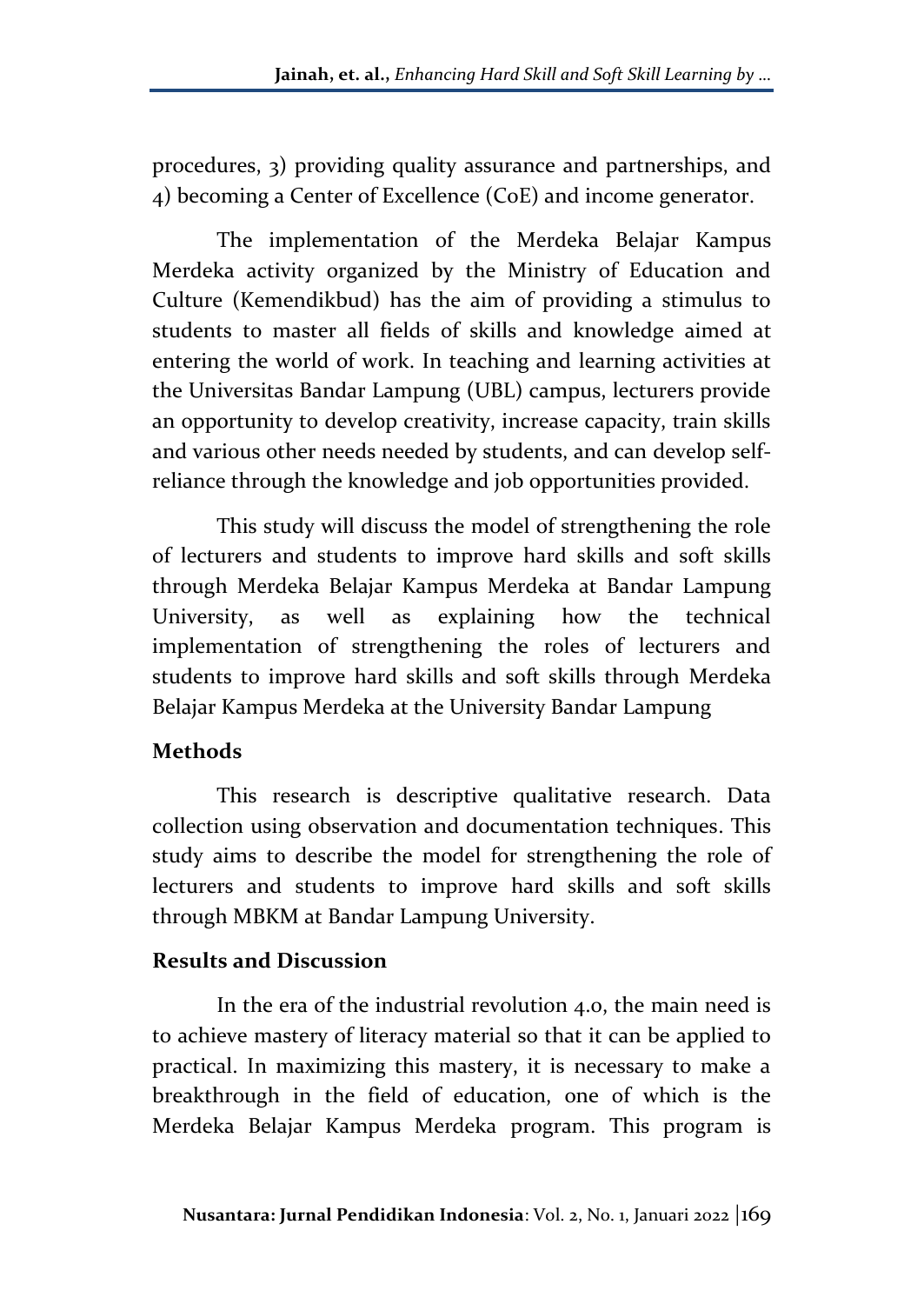procedures, 3) providing quality assurance and partnerships, and 4) becoming a Center of Excellence (CoE) and income generator.

The implementation of the Merdeka Belajar Kampus Merdeka activity organized by the Ministry of Education and Culture (Kemendikbud) has the aim of providing a stimulus to students to master all fields of skills and knowledge aimed at entering the world of work. In teaching and learning activities at the Universitas Bandar Lampung (UBL) campus, lecturers provide an opportunity to develop creativity, increase capacity, train skills and various other needs needed by students, and can develop selfreliance through the knowledge and job opportunities provided.

This study will discuss the model of strengthening the role of lecturers and students to improve hard skills and soft skills through Merdeka Belajar Kampus Merdeka at Bandar Lampung University, as well as explaining how the technical implementation of strengthening the roles of lecturers and students to improve hard skills and soft skills through Merdeka Belajar Kampus Merdeka at the University Bandar Lampung

## **Methods**

This research is descriptive qualitative research. Data collection using observation and documentation techniques. This study aims to describe the model for strengthening the role of lecturers and students to improve hard skills and soft skills through MBKM at Bandar Lampung University.

### **Results and Discussion**

In the era of the industrial revolution 4.0, the main need is to achieve mastery of literacy material so that it can be applied to practical. In maximizing this mastery, it is necessary to make a breakthrough in the field of education, one of which is the Merdeka Belajar Kampus Merdeka program. This program is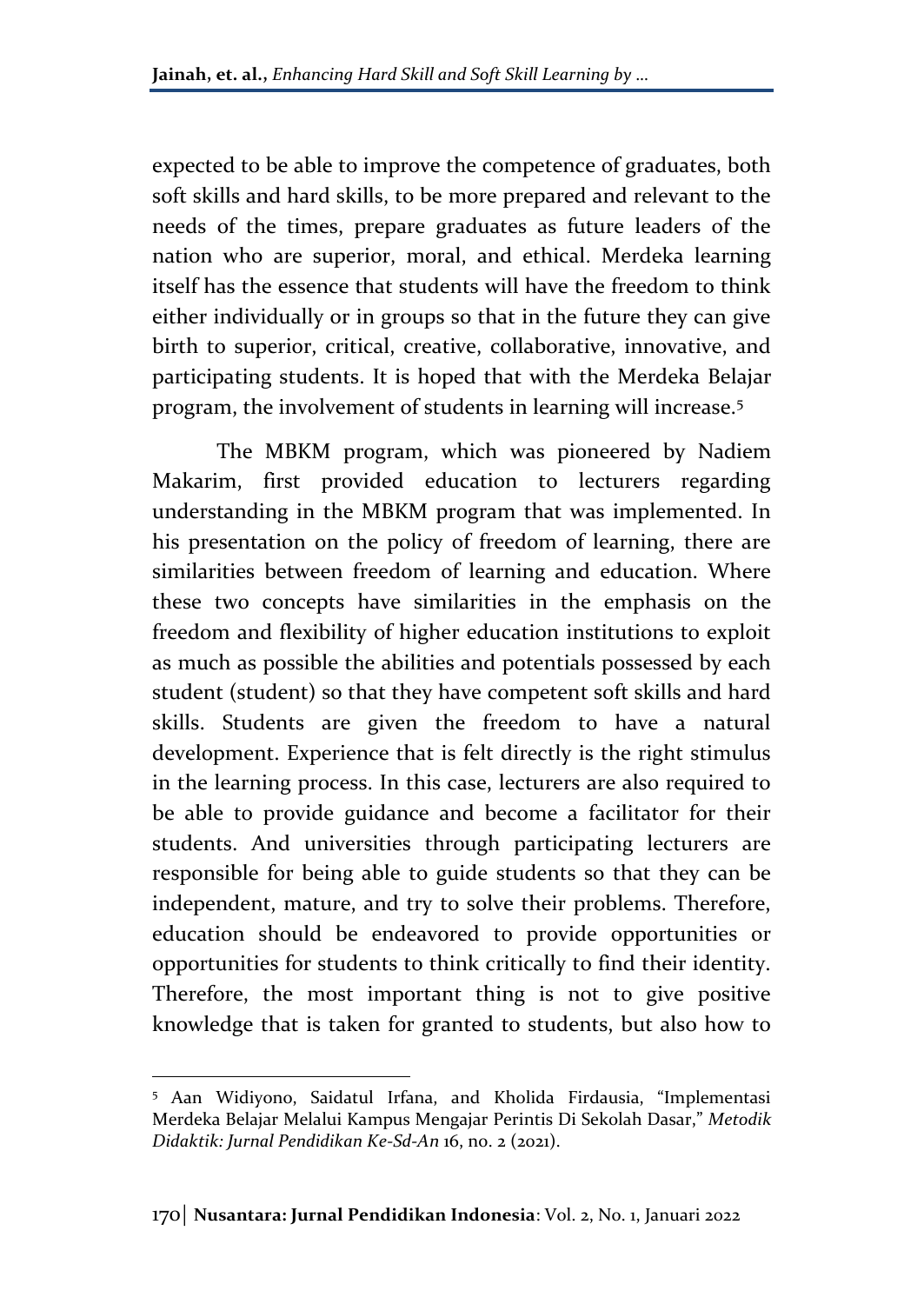expected to be able to improve the competence of graduates, both soft skills and hard skills, to be more prepared and relevant to the needs of the times, prepare graduates as future leaders of the nation who are superior, moral, and ethical. Merdeka learning itself has the essence that students will have the freedom to think either individually or in groups so that in the future they can give birth to superior, critical, creative, collaborative, innovative, and participating students. It is hoped that with the Merdeka Belajar program, the involvement of students in learning will increase.<sup>5</sup>

The MBKM program, which was pioneered by Nadiem Makarim, first provided education to lecturers regarding understanding in the MBKM program that was implemented. In his presentation on the policy of freedom of learning, there are similarities between freedom of learning and education. Where these two concepts have similarities in the emphasis on the freedom and flexibility of higher education institutions to exploit as much as possible the abilities and potentials possessed by each student (student) so that they have competent soft skills and hard skills. Students are given the freedom to have a natural development. Experience that is felt directly is the right stimulus in the learning process. In this case, lecturers are also required to be able to provide guidance and become a facilitator for their students. And universities through participating lecturers are responsible for being able to guide students so that they can be independent, mature, and try to solve their problems. Therefore, education should be endeavored to provide opportunities or opportunities for students to think critically to find their identity. Therefore, the most important thing is not to give positive knowledge that is taken for granted to students, but also how to

<sup>5</sup> Aan Widiyono, Saidatul Irfana, and Kholida Firdausia, "Implementasi Merdeka Belajar Melalui Kampus Mengajar Perintis Di Sekolah Dasar," *Metodik Didaktik: Jurnal Pendidikan Ke-Sd-An* 16, no. 2 (2021).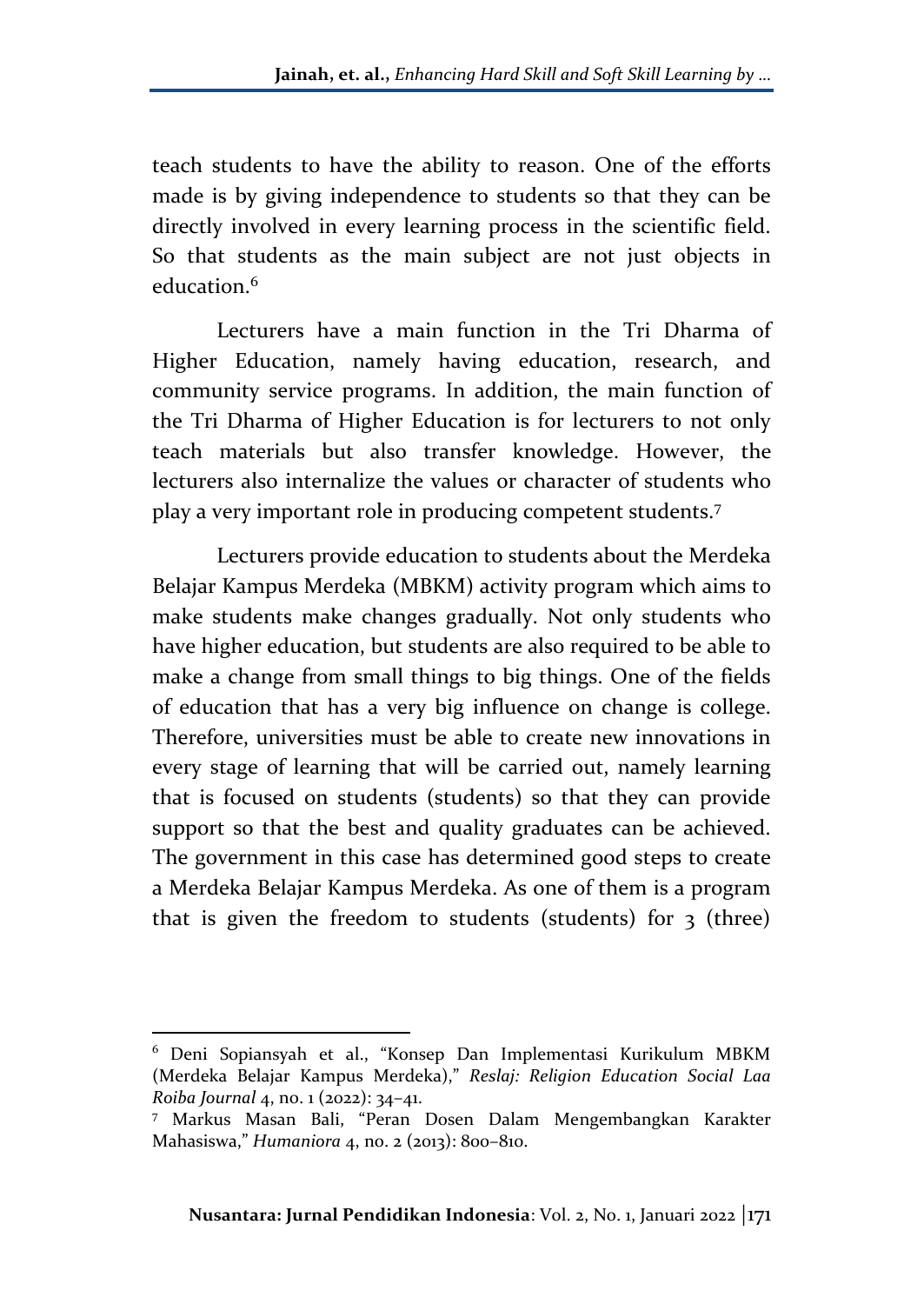teach students to have the ability to reason. One of the efforts made is by giving independence to students so that they can be directly involved in every learning process in the scientific field. So that students as the main subject are not just objects in education.<sup>6</sup>

Lecturers have a main function in the Tri Dharma of Higher Education, namely having education, research, and community service programs. In addition, the main function of the Tri Dharma of Higher Education is for lecturers to not only teach materials but also transfer knowledge. However, the lecturers also internalize the values or character of students who play a very important role in producing competent students.<sup>7</sup>

Lecturers provide education to students about the Merdeka Belajar Kampus Merdeka (MBKM) activity program which aims to make students make changes gradually. Not only students who have higher education, but students are also required to be able to make a change from small things to big things. One of the fields of education that has a very big influence on change is college. Therefore, universities must be able to create new innovations in every stage of learning that will be carried out, namely learning that is focused on students (students) so that they can provide support so that the best and quality graduates can be achieved. The government in this case has determined good steps to create a Merdeka Belajar Kampus Merdeka. As one of them is a program that is given the freedom to students (students) for  $\frac{1}{3}$  (three)

<sup>6</sup> Deni Sopiansyah et al., "Konsep Dan Implementasi Kurikulum MBKM (Merdeka Belajar Kampus Merdeka)," *Reslaj: Religion Education Social Laa Roiba Journal* 4, no. 1 (2022): 34–41.

<sup>7</sup> Markus Masan Bali, "Peran Dosen Dalam Mengembangkan Karakter Mahasiswa," *Humaniora* 4, no. 2 (2013): 800–810.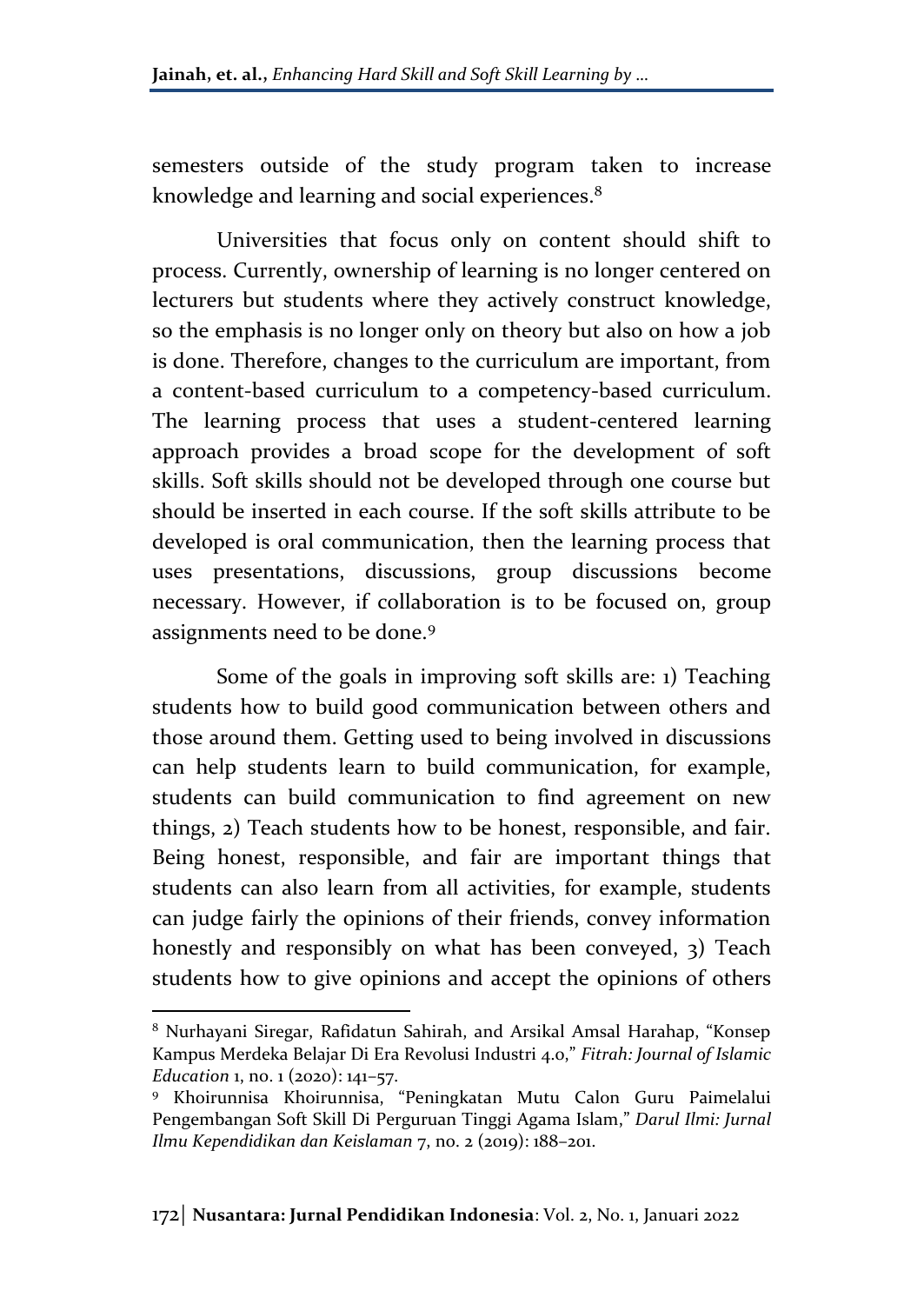semesters outside of the study program taken to increase knowledge and learning and social experiences.<sup>8</sup>

Universities that focus only on content should shift to process. Currently, ownership of learning is no longer centered on lecturers but students where they actively construct knowledge, so the emphasis is no longer only on theory but also on how a job is done. Therefore, changes to the curriculum are important, from a content-based curriculum to a competency-based curriculum. The learning process that uses a student-centered learning approach provides a broad scope for the development of soft skills. Soft skills should not be developed through one course but should be inserted in each course. If the soft skills attribute to be developed is oral communication, then the learning process that uses presentations, discussions, group discussions become necessary. However, if collaboration is to be focused on, group assignments need to be done.<sup>9</sup>

Some of the goals in improving soft skills are: 1) Teaching students how to build good communication between others and those around them. Getting used to being involved in discussions can help students learn to build communication, for example, students can build communication to find agreement on new things, 2) Teach students how to be honest, responsible, and fair. Being honest, responsible, and fair are important things that students can also learn from all activities, for example, students can judge fairly the opinions of their friends, convey information honestly and responsibly on what has been conveyed, 3) Teach students how to give opinions and accept the opinions of others

<sup>8</sup> Nurhayani Siregar, Rafidatun Sahirah, and Arsikal Amsal Harahap, "Konsep Kampus Merdeka Belajar Di Era Revolusi Industri 4.0," *Fitrah: Journal of Islamic Education* 1, no. 1 (2020): 141–57.

<sup>9</sup> Khoirunnisa Khoirunnisa, "Peningkatan Mutu Calon Guru Paimelalui Pengembangan Soft Skill Di Perguruan Tinggi Agama Islam," *Darul Ilmi: Jurnal Ilmu Kependidikan dan Keislaman* 7, no. 2 (2019): 188–201.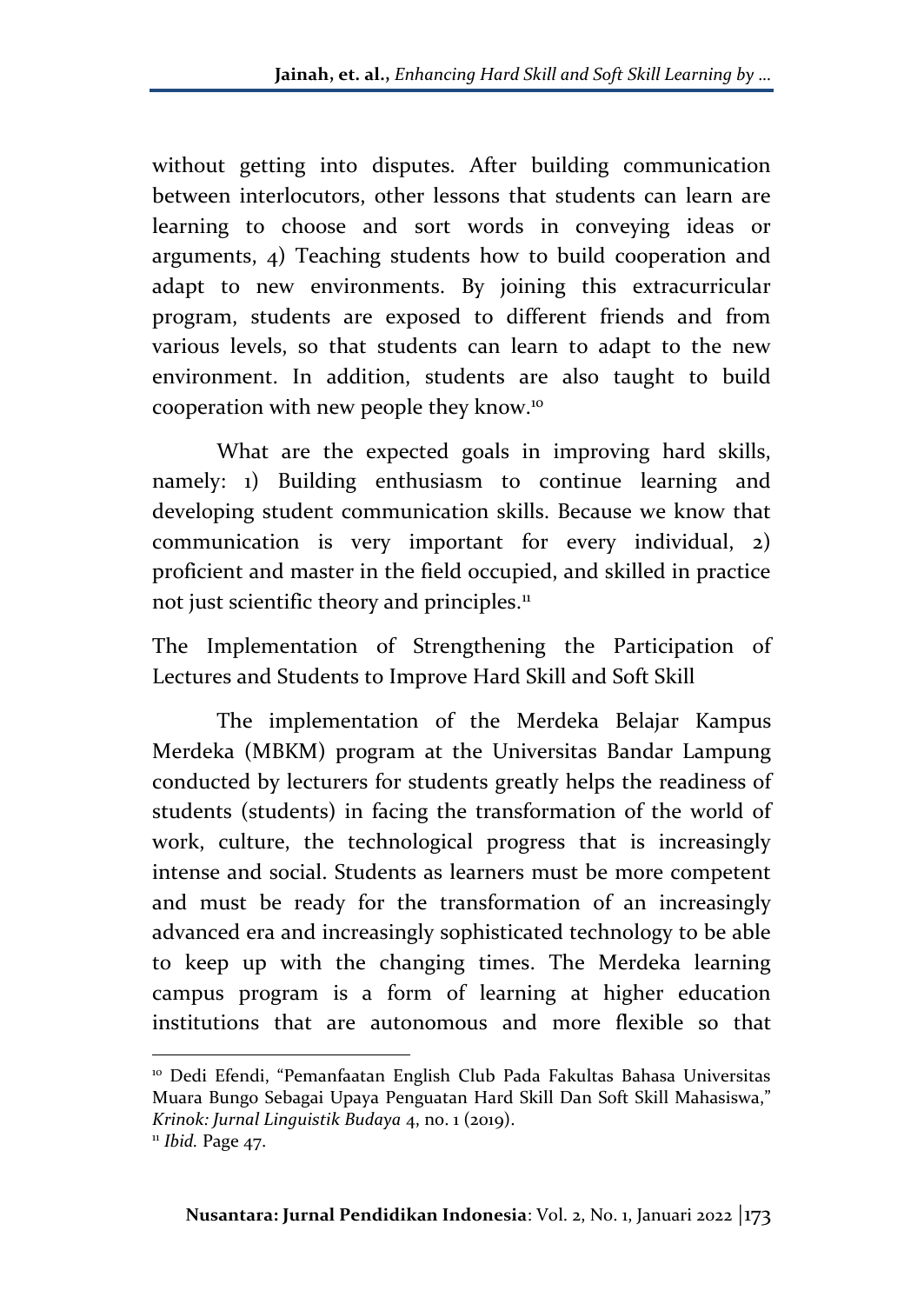without getting into disputes. After building communication between interlocutors, other lessons that students can learn are learning to choose and sort words in conveying ideas or arguments, 4) Teaching students how to build cooperation and adapt to new environments. By joining this extracurricular program, students are exposed to different friends and from various levels, so that students can learn to adapt to the new environment. In addition, students are also taught to build cooperation with new people they know.<sup>10</sup>

What are the expected goals in improving hard skills, namely: 1) Building enthusiasm to continue learning and developing student communication skills. Because we know that communication is very important for every individual, 2) proficient and master in the field occupied, and skilled in practice not just scientific theory and principles.<sup>11</sup>

The Implementation of Strengthening the Participation of Lectures and Students to Improve Hard Skill and Soft Skill

The implementation of the Merdeka Belajar Kampus Merdeka (MBKM) program at the Universitas Bandar Lampung conducted by lecturers for students greatly helps the readiness of students (students) in facing the transformation of the world of work, culture, the technological progress that is increasingly intense and social. Students as learners must be more competent and must be ready for the transformation of an increasingly advanced era and increasingly sophisticated technology to be able to keep up with the changing times. The Merdeka learning campus program is a form of learning at higher education institutions that are autonomous and more flexible so that

<sup>10</sup> Dedi Efendi, "Pemanfaatan English Club Pada Fakultas Bahasa Universitas Muara Bungo Sebagai Upaya Penguatan Hard Skill Dan Soft Skill Mahasiswa," *Krinok: Jurnal Linguistik Budaya* 4, no. 1 (2019). <sup>11</sup> *Ibid.* Page 47.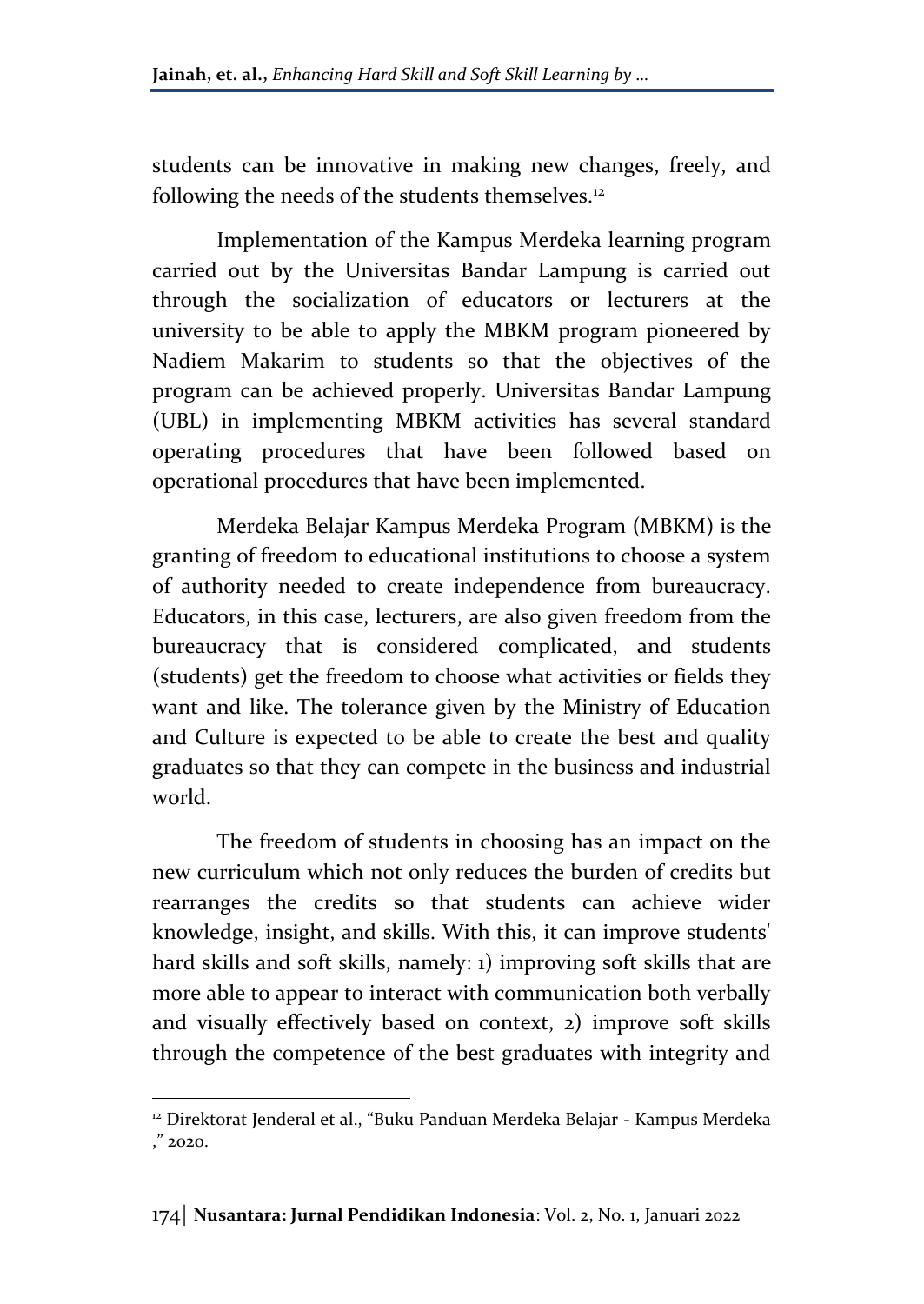students can be innovative in making new changes, freely, and following the needs of the students themselves.<sup>12</sup>

Implementation of the Kampus Merdeka learning program carried out by the Universitas Bandar Lampung is carried out through the socialization of educators or lecturers at the university to be able to apply the MBKM program pioneered by Nadiem Makarim to students so that the objectives of the program can be achieved properly. Universitas Bandar Lampung (UBL) in implementing MBKM activities has several standard operating procedures that have been followed based on operational procedures that have been implemented.

Merdeka Belajar Kampus Merdeka Program (MBKM) is the granting of freedom to educational institutions to choose a system of authority needed to create independence from bureaucracy. Educators, in this case, lecturers, are also given freedom from the bureaucracy that is considered complicated, and students (students) get the freedom to choose what activities or fields they want and like. The tolerance given by the Ministry of Education and Culture is expected to be able to create the best and quality graduates so that they can compete in the business and industrial world.

The freedom of students in choosing has an impact on the new curriculum which not only reduces the burden of credits but rearranges the credits so that students can achieve wider knowledge, insight, and skills. With this, it can improve students' hard skills and soft skills, namely: 1) improving soft skills that are more able to appear to interact with communication both verbally and visually effectively based on context, 2) improve soft skills through the competence of the best graduates with integrity and

<sup>&</sup>lt;sup>12</sup> Direktorat Jenderal et al., "Buku Panduan Merdeka Belajar - Kampus Merdeka ," 2020.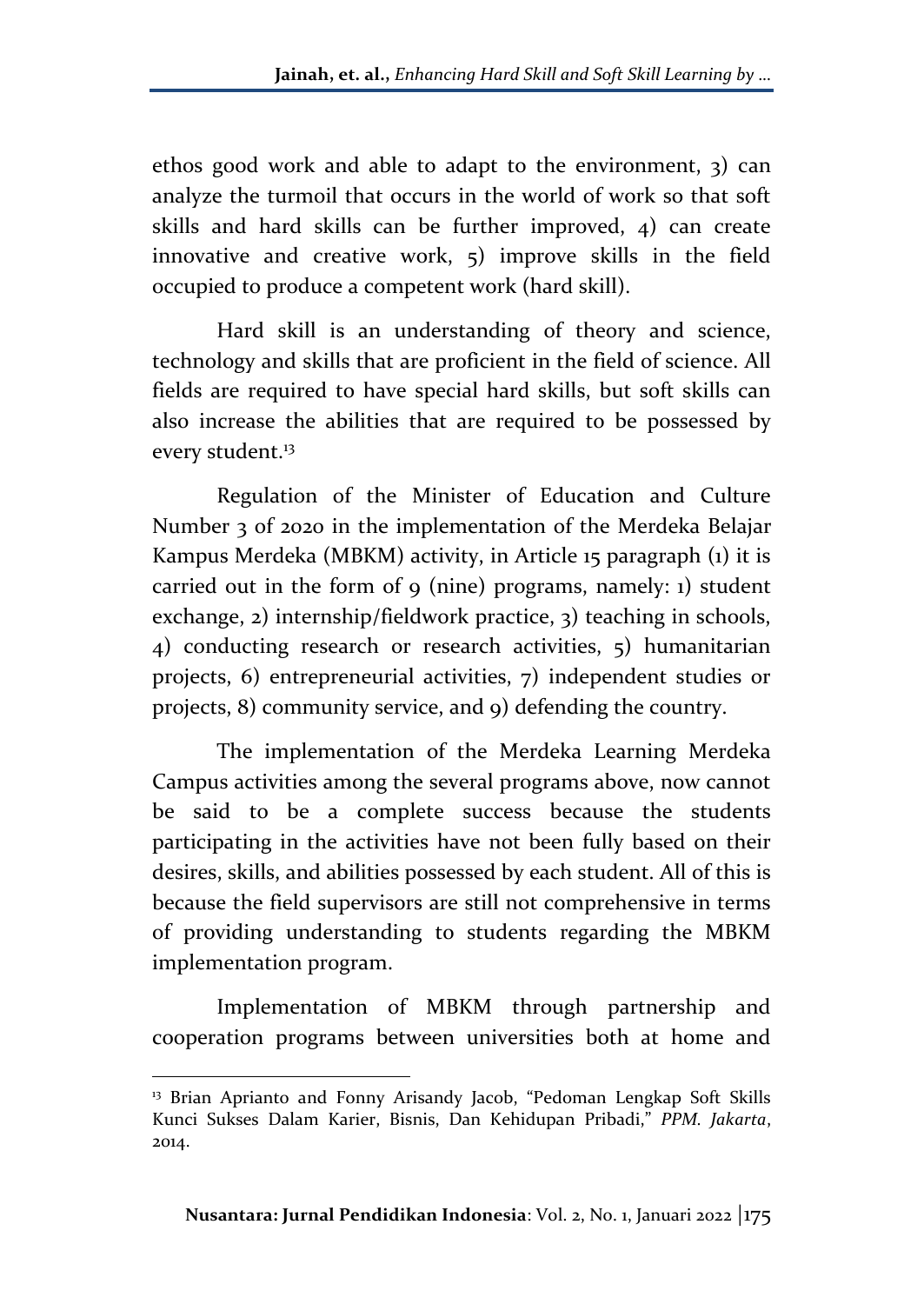ethos good work and able to adapt to the environment, 3) can analyze the turmoil that occurs in the world of work so that soft skills and hard skills can be further improved, 4) can create innovative and creative work, 5) improve skills in the field occupied to produce a competent work (hard skill).

Hard skill is an understanding of theory and science, technology and skills that are proficient in the field of science. All fields are required to have special hard skills, but soft skills can also increase the abilities that are required to be possessed by every student.<sup>13</sup>

Regulation of the Minister of Education and Culture Number 3 of 2020 in the implementation of the Merdeka Belajar Kampus Merdeka (MBKM) activity, in Article 15 paragraph (1) it is carried out in the form of 9 (nine) programs, namely: 1) student exchange, 2) internship/fieldwork practice, 3) teaching in schools, 4) conducting research or research activities, 5) humanitarian projects, 6) entrepreneurial activities, 7) independent studies or projects, 8) community service, and 9) defending the country.

The implementation of the Merdeka Learning Merdeka Campus activities among the several programs above, now cannot be said to be a complete success because the students participating in the activities have not been fully based on their desires, skills, and abilities possessed by each student. All of this is because the field supervisors are still not comprehensive in terms of providing understanding to students regarding the MBKM implementation program.

Implementation of MBKM through partnership and cooperation programs between universities both at home and

<sup>&</sup>lt;sup>13</sup> Brian Aprianto and Fonny Arisandy Jacob, "Pedoman Lengkap Soft Skills Kunci Sukses Dalam Karier, Bisnis, Dan Kehidupan Pribadi," *PPM. Jakarta*, 2014.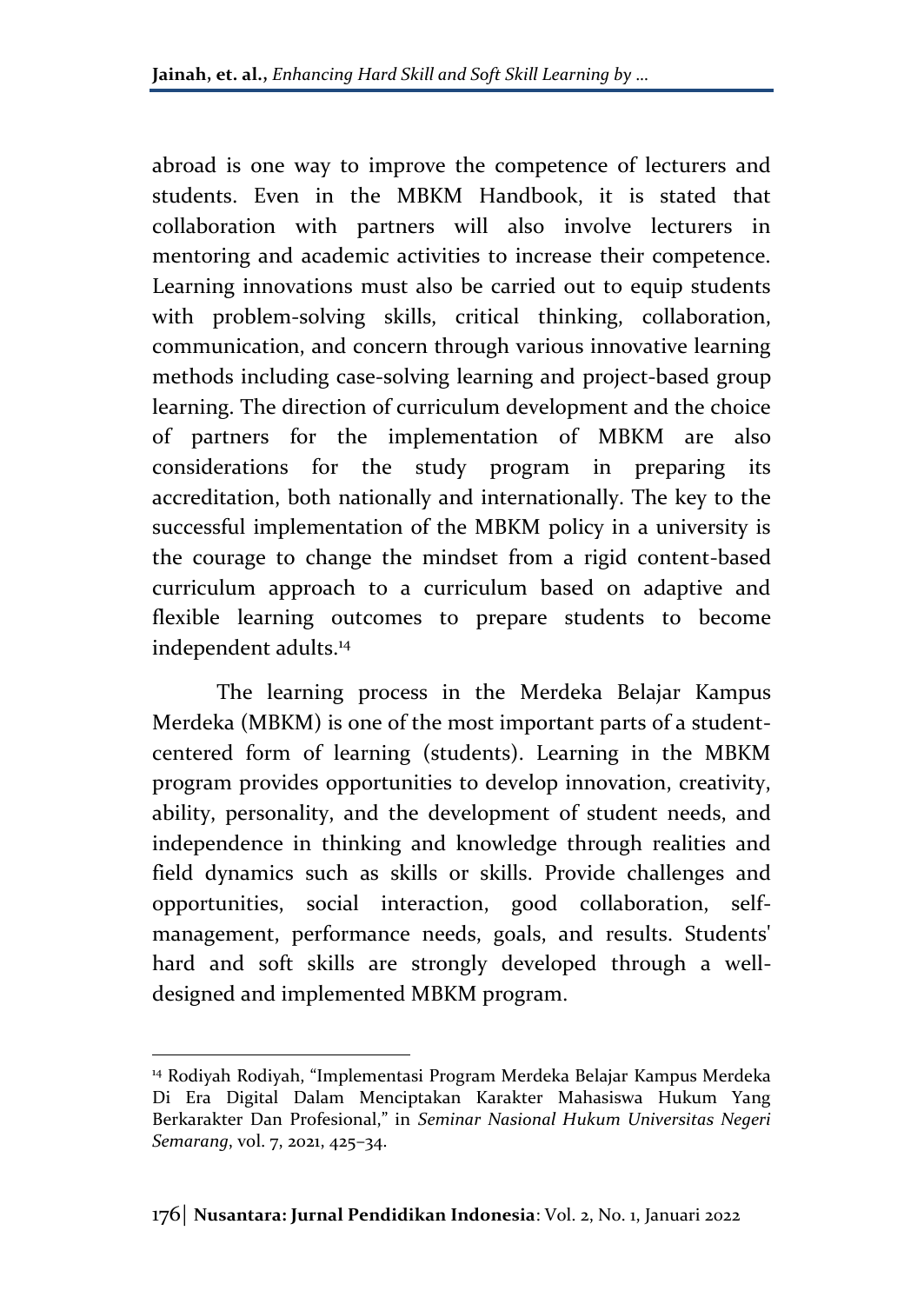abroad is one way to improve the competence of lecturers and students. Even in the MBKM Handbook, it is stated that collaboration with partners will also involve lecturers in mentoring and academic activities to increase their competence. Learning innovations must also be carried out to equip students with problem-solving skills, critical thinking, collaboration, communication, and concern through various innovative learning methods including case-solving learning and project-based group learning. The direction of curriculum development and the choice of partners for the implementation of MBKM are also considerations for the study program in preparing its accreditation, both nationally and internationally. The key to the successful implementation of the MBKM policy in a university is the courage to change the mindset from a rigid content-based curriculum approach to a curriculum based on adaptive and flexible learning outcomes to prepare students to become independent adults.<sup>14</sup>

The learning process in the Merdeka Belajar Kampus Merdeka (MBKM) is one of the most important parts of a studentcentered form of learning (students). Learning in the MBKM program provides opportunities to develop innovation, creativity, ability, personality, and the development of student needs, and independence in thinking and knowledge through realities and field dynamics such as skills or skills. Provide challenges and opportunities, social interaction, good collaboration, selfmanagement, performance needs, goals, and results. Students' hard and soft skills are strongly developed through a welldesigned and implemented MBKM program.

<sup>14</sup> Rodiyah Rodiyah, "Implementasi Program Merdeka Belajar Kampus Merdeka Di Era Digital Dalam Menciptakan Karakter Mahasiswa Hukum Yang Berkarakter Dan Profesional," in *Seminar Nasional Hukum Universitas Negeri Semarang*, vol. 7, 2021, 425–34.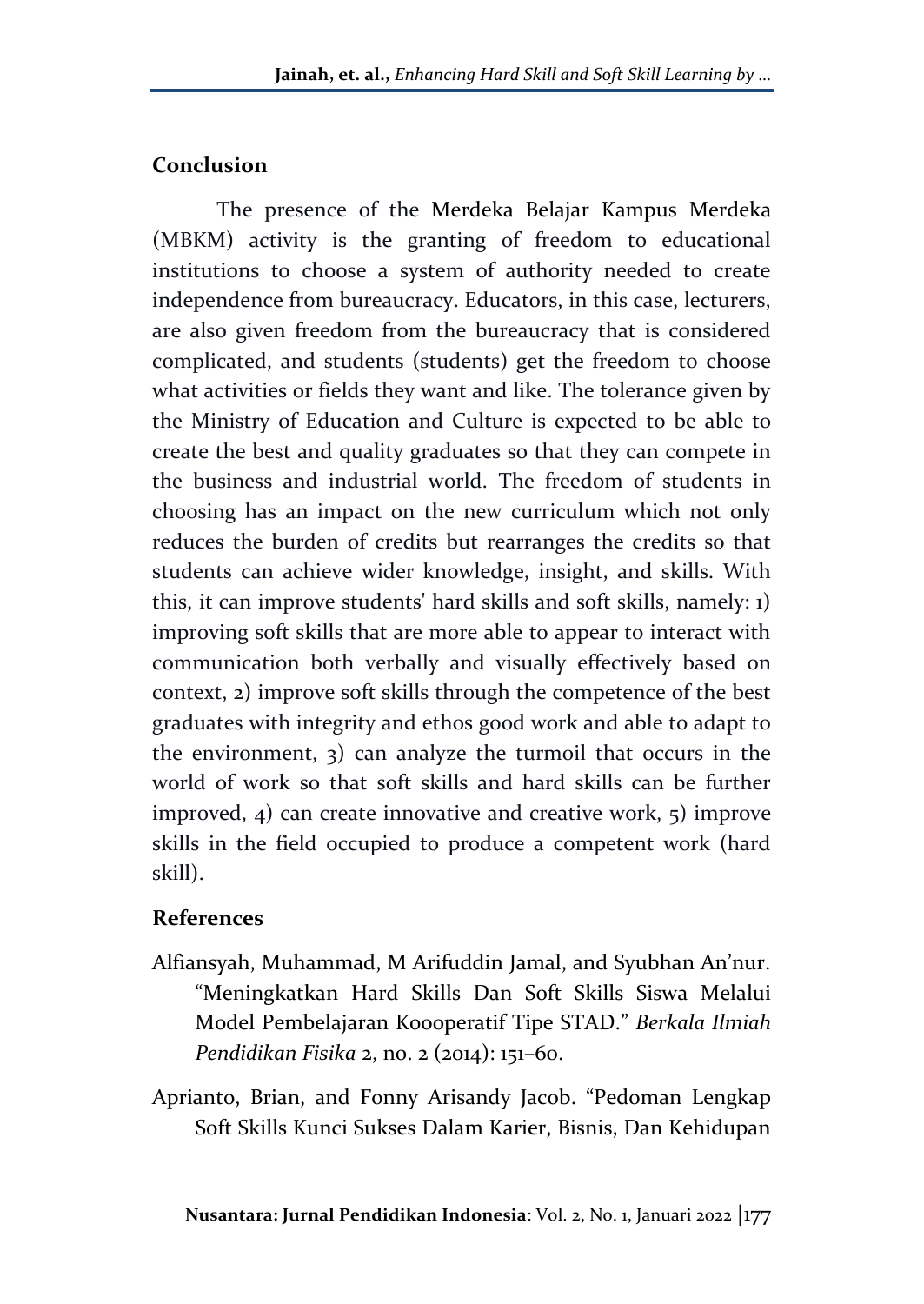### **Conclusion**

The presence of the Merdeka Belajar Kampus Merdeka (MBKM) activity is the granting of freedom to educational institutions to choose a system of authority needed to create independence from bureaucracy. Educators, in this case, lecturers, are also given freedom from the bureaucracy that is considered complicated, and students (students) get the freedom to choose what activities or fields they want and like. The tolerance given by the Ministry of Education and Culture is expected to be able to create the best and quality graduates so that they can compete in the business and industrial world. The freedom of students in choosing has an impact on the new curriculum which not only reduces the burden of credits but rearranges the credits so that students can achieve wider knowledge, insight, and skills. With this, it can improve students' hard skills and soft skills, namely: 1) improving soft skills that are more able to appear to interact with communication both verbally and visually effectively based on context, 2) improve soft skills through the competence of the best graduates with integrity and ethos good work and able to adapt to the environment, 3) can analyze the turmoil that occurs in the world of work so that soft skills and hard skills can be further improved, 4) can create innovative and creative work, 5) improve skills in the field occupied to produce a competent work (hard skill).

### **References**

- Alfiansyah, Muhammad, M Arifuddin Jamal, and Syubhan An'nur. "Meningkatkan Hard Skills Dan Soft Skills Siswa Melalui Model Pembelajaran Koooperatif Tipe STAD." *Berkala Ilmiah Pendidikan Fisika* 2, no. 2 (2014): 151–60.
- Aprianto, Brian, and Fonny Arisandy Jacob. "Pedoman Lengkap Soft Skills Kunci Sukses Dalam Karier, Bisnis, Dan Kehidupan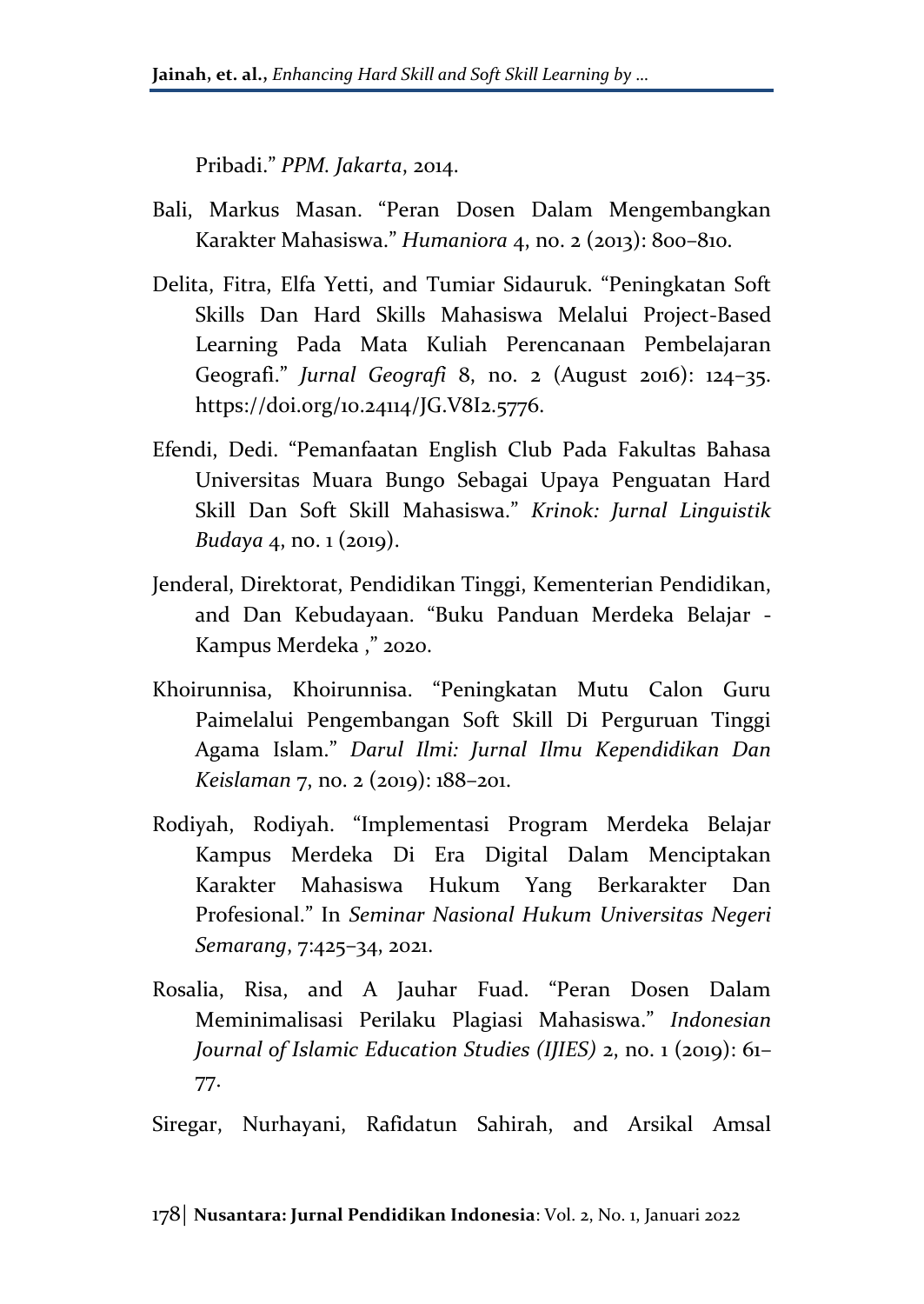Pribadi." *PPM. Jakarta*, 2014.

- Bali, Markus Masan. "Peran Dosen Dalam Mengembangkan Karakter Mahasiswa." *Humaniora* 4, no. 2 (2013): 800–810.
- Delita, Fitra, Elfa Yetti, and Tumiar Sidauruk. "Peningkatan Soft Skills Dan Hard Skills Mahasiswa Melalui Project-Based Learning Pada Mata Kuliah Perencanaan Pembelajaran Geografi." *Jurnal Geografi* 8, no. 2 (August 2016): 124–35. https://doi.org/10.24114/JG.V8I2.5776.
- Efendi, Dedi. "Pemanfaatan English Club Pada Fakultas Bahasa Universitas Muara Bungo Sebagai Upaya Penguatan Hard Skill Dan Soft Skill Mahasiswa." *Krinok: Jurnal Linguistik Budaya* 4, no. 1 (2019).
- Jenderal, Direktorat, Pendidikan Tinggi, Kementerian Pendidikan, and Dan Kebudayaan. "Buku Panduan Merdeka Belajar - Kampus Merdeka ," 2020.
- Khoirunnisa, Khoirunnisa. "Peningkatan Mutu Calon Guru Paimelalui Pengembangan Soft Skill Di Perguruan Tinggi Agama Islam." *Darul Ilmi: Jurnal Ilmu Kependidikan Dan Keislaman* 7, no. 2 (2019): 188–201.
- Rodiyah, Rodiyah. "Implementasi Program Merdeka Belajar Kampus Merdeka Di Era Digital Dalam Menciptakan Karakter Mahasiswa Hukum Yang Berkarakter Dan Profesional." In *Seminar Nasional Hukum Universitas Negeri Semarang*, 7:425–34, 2021.
- Rosalia, Risa, and A Jauhar Fuad. "Peran Dosen Dalam Meminimalisasi Perilaku Plagiasi Mahasiswa." *Indonesian Journal of Islamic Education Studies (IJIES)* 2, no. 1 (2019): 61– 77.

Siregar, Nurhayani, Rafidatun Sahirah, and Arsikal Amsal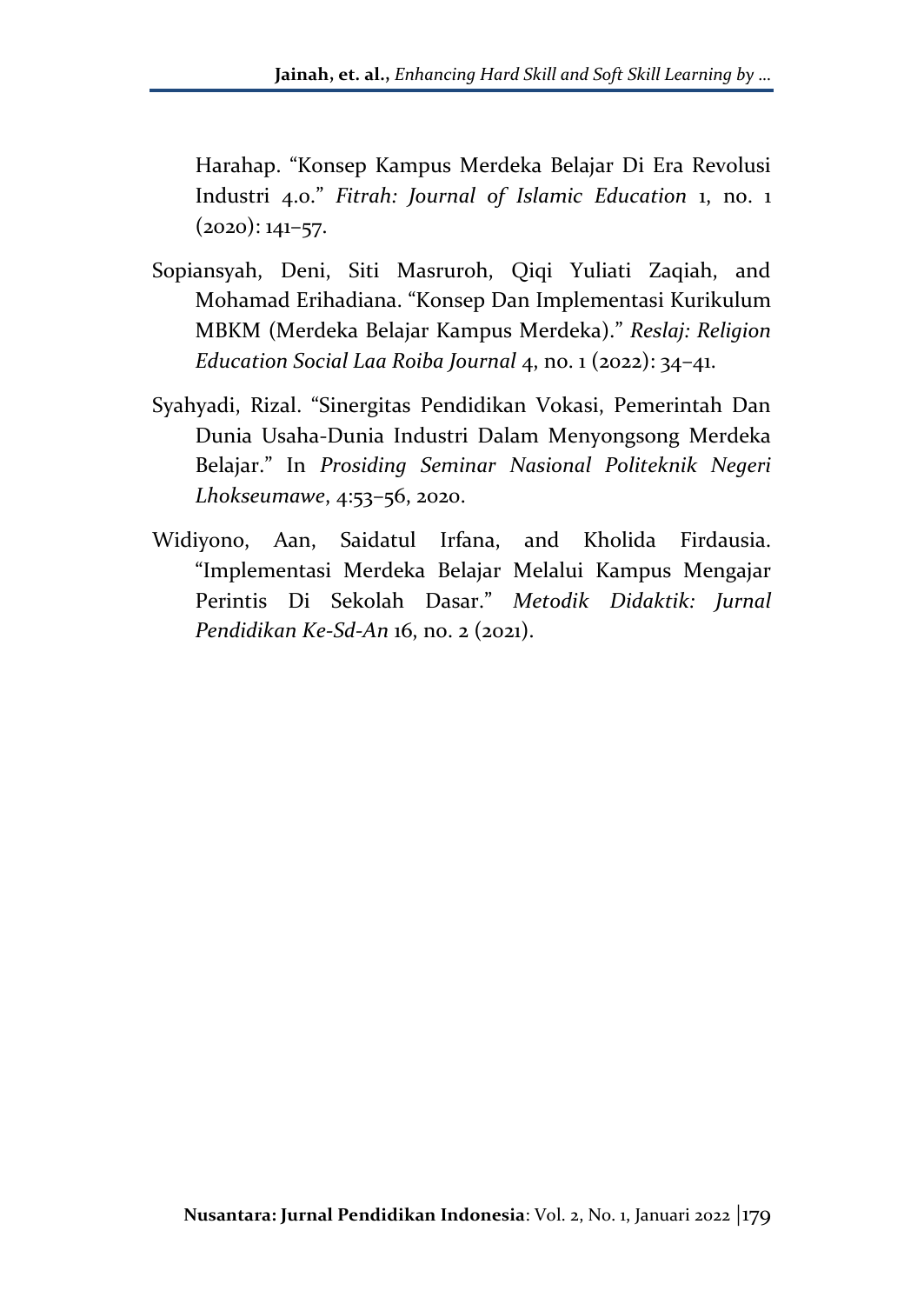Harahap. "Konsep Kampus Merdeka Belajar Di Era Revolusi Industri 4.0." *Fitrah: Journal of Islamic Education* 1, no. 1  $(2020): 141-57.$ 

- Sopiansyah, Deni, Siti Masruroh, Qiqi Yuliati Zaqiah, and Mohamad Erihadiana. "Konsep Dan Implementasi Kurikulum MBKM (Merdeka Belajar Kampus Merdeka)." *Reslaj: Religion Education Social Laa Roiba Journal* 4, no. 1 (2022): 34–41.
- Syahyadi, Rizal. "Sinergitas Pendidikan Vokasi, Pemerintah Dan Dunia Usaha-Dunia Industri Dalam Menyongsong Merdeka Belajar." In *Prosiding Seminar Nasional Politeknik Negeri Lhokseumawe*, 4:53–56, 2020.
- Widiyono, Aan, Saidatul Irfana, and Kholida Firdausia. "Implementasi Merdeka Belajar Melalui Kampus Mengajar Perintis Di Sekolah Dasar." *Metodik Didaktik: Jurnal Pendidikan Ke-Sd-An* 16, no. 2 (2021).